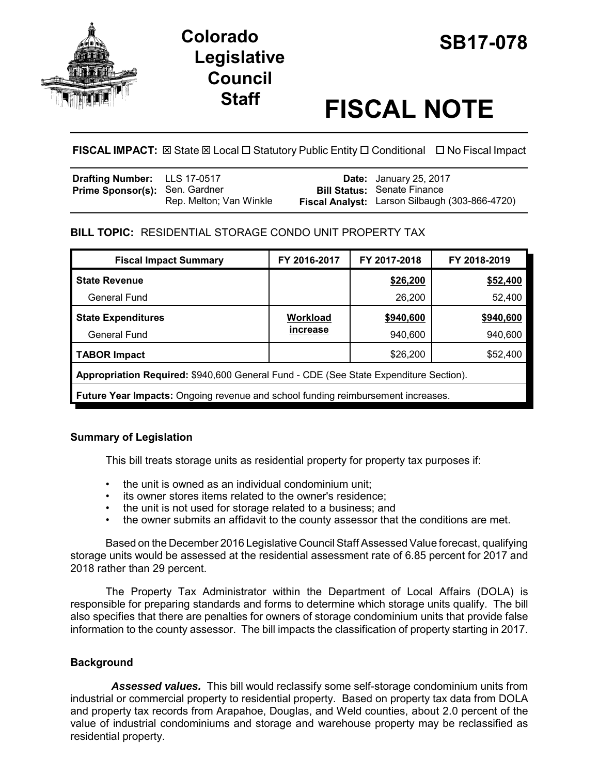

# **SB17-078 Colorado Legislative Council**

# **Staff FISCAL NOTE**

**FISCAL IMPACT:** ⊠ State ⊠ Local □ Statutory Public Entity □ Conditional □ No Fiscal Impact

| Drafting Number: LLS 17-0517          |                         | <b>Date:</b> January 25, 2017                  |
|---------------------------------------|-------------------------|------------------------------------------------|
| <b>Prime Sponsor(s): Sen. Gardner</b> |                         | <b>Bill Status: Senate Finance</b>             |
|                                       | Rep. Melton; Van Winkle | Fiscal Analyst: Larson Silbaugh (303-866-4720) |

## **BILL TOPIC:** RESIDENTIAL STORAGE CONDO UNIT PROPERTY TAX

| <b>Fiscal Impact Summary</b>                                                          | FY 2016-2017 | FY 2017-2018 | FY 2018-2019 |  |  |
|---------------------------------------------------------------------------------------|--------------|--------------|--------------|--|--|
| <b>State Revenue</b>                                                                  |              | \$26,200     | \$52,400     |  |  |
| <b>General Fund</b>                                                                   |              | 26,200       | 52,400       |  |  |
| <b>State Expenditures</b>                                                             | Workload     | \$940,600    | \$940,600    |  |  |
| <b>General Fund</b>                                                                   | increase     | 940,600      | 940,600      |  |  |
| <b>TABOR Impact</b>                                                                   |              | \$26,200     | \$52,400     |  |  |
| Appropriation Required: \$940,600 General Fund - CDE (See State Expenditure Section). |              |              |              |  |  |
| Future Year Impacts: Ongoing revenue and school funding reimbursement increases.      |              |              |              |  |  |

### **Summary of Legislation**

This bill treats storage units as residential property for property tax purposes if:

- the unit is owned as an individual condominium unit;
- its owner stores items related to the owner's residence:
- the unit is not used for storage related to a business; and
- the owner submits an affidavit to the county assessor that the conditions are met.

Based on the December 2016 Legislative Council Staff Assessed Value forecast, qualifying storage units would be assessed at the residential assessment rate of 6.85 percent for 2017 and 2018 rather than 29 percent.

The Property Tax Administrator within the Department of Local Affairs (DOLA) is responsible for preparing standards and forms to determine which storage units qualify. The bill also specifies that there are penalties for owners of storage condominium units that provide false information to the county assessor. The bill impacts the classification of property starting in 2017.

# **Background**

 *Assessed values.* This bill would reclassify some self-storage condominium units from industrial or commercial property to residential property. Based on property tax data from DOLA and property tax records from Arapahoe, Douglas, and Weld counties, about 2.0 percent of the value of industrial condominiums and storage and warehouse property may be reclassified as residential property.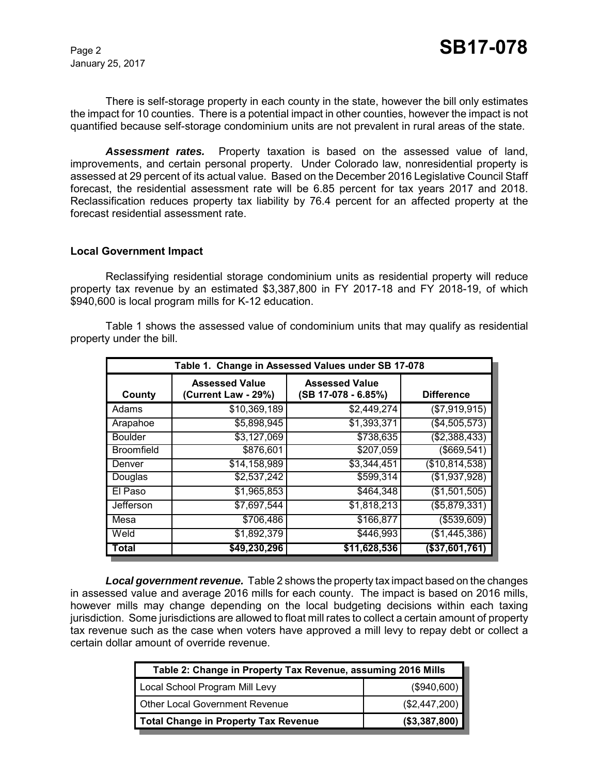January 25, 2017

There is self-storage property in each county in the state, however the bill only estimates the impact for 10 counties. There is a potential impact in other counties, however the impact is not quantified because self-storage condominium units are not prevalent in rural areas of the state.

*Assessment rates.* Property taxation is based on the assessed value of land, improvements, and certain personal property. Under Colorado law, nonresidential property is assessed at 29 percent of its actual value. Based on the December 2016 Legislative Council Staff forecast, the residential assessment rate will be 6.85 percent for tax years 2017 and 2018. Reclassification reduces property tax liability by 76.4 percent for an affected property at the forecast residential assessment rate.

#### **Local Government Impact**

Reclassifying residential storage condominium units as residential property will reduce property tax revenue by an estimated \$3,387,800 in FY 2017-18 and FY 2018-19, of which \$940,600 is local program mills for K-12 education.

Table 1 shows the assessed value of condominium units that may qualify as residential property under the bill.

| Table 1. Change in Assessed Values under SB 17-078 |                                              |                                              |                   |  |  |
|----------------------------------------------------|----------------------------------------------|----------------------------------------------|-------------------|--|--|
| County                                             | <b>Assessed Value</b><br>(Current Law - 29%) | <b>Assessed Value</b><br>(SB 17-078 - 6.85%) | <b>Difference</b> |  |  |
| Adams                                              | \$10,369,189                                 | \$2,449,274                                  | (\$7,919,915)     |  |  |
| Arapahoe                                           | \$5,898,945                                  | \$1,393,371                                  | (\$4,505,573)     |  |  |
| <b>Boulder</b>                                     | \$3,127,069                                  | \$738,635                                    | (\$2,388,433)     |  |  |
| <b>Broomfield</b>                                  | \$876,601                                    | $\overline{$}207,059$                        | (\$669,541)       |  |  |
| Denver                                             | \$14,158,989                                 | \$3,344,451                                  | (\$10,814,538)    |  |  |
| Douglas                                            | \$2,537,242                                  | \$599,314                                    | (\$1,937,928)     |  |  |
| El Paso                                            | \$1,965,853                                  | \$464,348                                    | (\$1,501,505)     |  |  |
| Jefferson                                          | \$7,697,544                                  | \$1,818,213                                  | (\$5,879,331)     |  |  |
| Mesa                                               | \$706,486                                    | \$166,877                                    | ( \$539, 609)     |  |  |
| Weld                                               | \$1,892,379                                  | \$446,993                                    | (\$1,445,386)     |  |  |
| Total                                              | \$49,230,296                                 | \$11,628,536                                 | (\$37,601,761     |  |  |

*Local government revenue.* Table 2 shows the property tax impact based on the changes in assessed value and average 2016 mills for each county. The impact is based on 2016 mills, however mills may change depending on the local budgeting decisions within each taxing jurisdiction. Some jurisdictions are allowed to float mill rates to collect a certain amount of property tax revenue such as the case when voters have approved a mill levy to repay debt or collect a certain dollar amount of override revenue.

| Table 2: Change in Property Tax Revenue, assuming 2016 Mills |                |  |  |  |
|--------------------------------------------------------------|----------------|--|--|--|
| Local School Program Mill Levy                               | (\$940,600)    |  |  |  |
| <b>Other Local Government Revenue</b>                        | (\$2,447,200)  |  |  |  |
| <b>Total Change in Property Tax Revenue</b>                  | ( \$3,387,800) |  |  |  |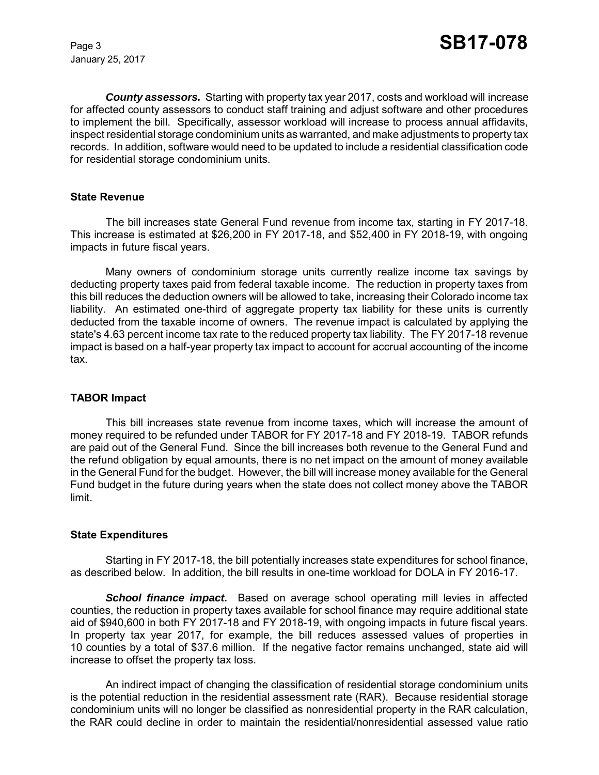January 25, 2017

*County assessors.* Starting with property tax year 2017, costs and workload will increase for affected county assessors to conduct staff training and adjust software and other procedures to implement the bill. Specifically, assessor workload will increase to process annual affidavits, inspect residential storage condominium units as warranted, and make adjustments to property tax records. In addition, software would need to be updated to include a residential classification code for residential storage condominium units.

#### **State Revenue**

The bill increases state General Fund revenue from income tax, starting in FY 2017-18. This increase is estimated at \$26,200 in FY 2017-18, and \$52,400 in FY 2018-19, with ongoing impacts in future fiscal years.

Many owners of condominium storage units currently realize income tax savings by deducting property taxes paid from federal taxable income. The reduction in property taxes from this bill reduces the deduction owners will be allowed to take, increasing their Colorado income tax liability. An estimated one-third of aggregate property tax liability for these units is currently deducted from the taxable income of owners. The revenue impact is calculated by applying the state's 4.63 percent income tax rate to the reduced property tax liability. The FY 2017-18 revenue impact is based on a half-year property tax impact to account for accrual accounting of the income tax.

#### **TABOR Impact**

This bill increases state revenue from income taxes, which will increase the amount of money required to be refunded under TABOR for FY 2017-18 and FY 2018-19. TABOR refunds are paid out of the General Fund. Since the bill increases both revenue to the General Fund and the refund obligation by equal amounts, there is no net impact on the amount of money available in the General Fund for the budget. However, the bill will increase money available for the General Fund budget in the future during years when the state does not collect money above the TABOR limit.

#### **State Expenditures**

Starting in FY 2017-18, the bill potentially increases state expenditures for school finance, as described below. In addition, the bill results in one-time workload for DOLA in FY 2016-17.

**School finance impact.** Based on average school operating mill levies in affected counties, the reduction in property taxes available for school finance may require additional state aid of \$940,600 in both FY 2017-18 and FY 2018-19, with ongoing impacts in future fiscal years. In property tax year 2017, for example, the bill reduces assessed values of properties in 10 counties by a total of \$37.6 million. If the negative factor remains unchanged, state aid will increase to offset the property tax loss.

An indirect impact of changing the classification of residential storage condominium units is the potential reduction in the residential assessment rate (RAR). Because residential storage condominium units will no longer be classified as nonresidential property in the RAR calculation, the RAR could decline in order to maintain the residential/nonresidential assessed value ratio